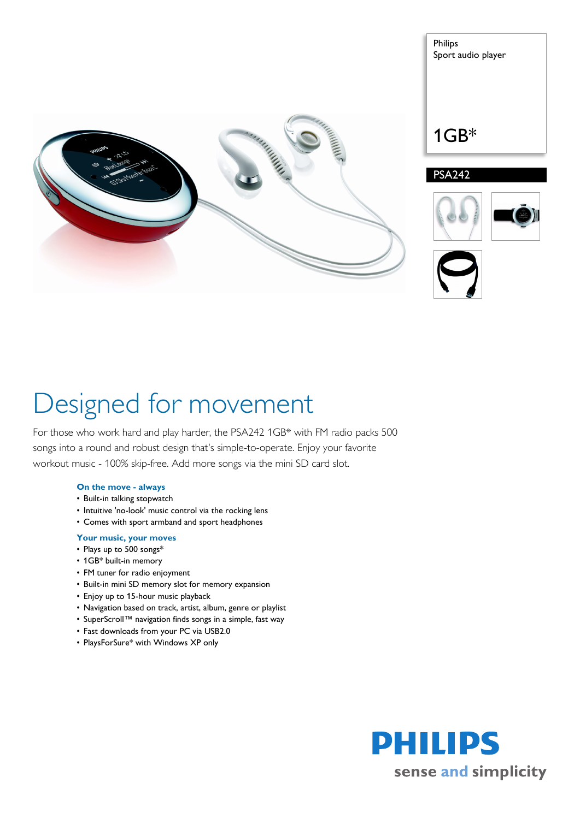





# Designed for movement

For those who work hard and play harder, the PSA242 1GB\* with FM radio packs 500 songs into a round and robust design that's simple-to-operate. Enjoy your favorite workout music - 100% skip-free. Add more songs via the mini SD card slot.

## **On the move - always**

- Built-in talking stopwatch
- Intuitive 'no-look' music control via the rocking lens
- Comes with sport armband and sport headphones

### **Your music, your moves**

- Plays up to 500 songs\*
- 1GB\* built-in memory
- FM tuner for radio enjoyment
- Built-in mini SD memory slot for memory expansion
- Enjoy up to 15-hour music playback
- Navigation based on track, artist, album, genre or playlist
- SuperScroll™ navigation finds songs in a simple, fast way
- Fast downloads from your PC via USB2.0
- PlaysForSure\* with Windows XP only